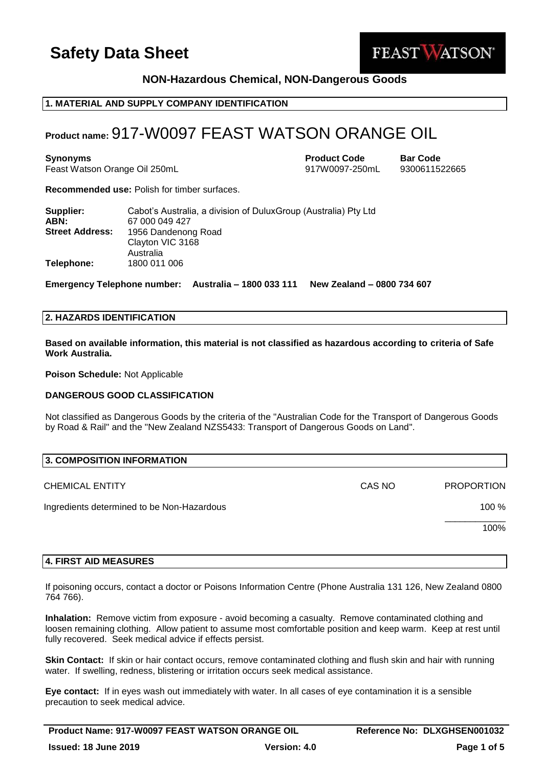

# **NON-Hazardous Chemical, NON-Dangerous Goods**

# **1. MATERIAL AND SUPPLY COMPANY IDENTIFICATION**

# **Product name:** 917-W0097 FEAST WATSON ORANGE OIL

**Synonyms Product Code Bar Code** Feast Watson Orange Oil 250mL 917W0097-250mL 9300611522665

**Recommended use:** Polish for timber surfaces.

| Supplier:<br>ABN:      | Cabot's Australia, a division of DuluxGroup (Australia) Pty Ltd<br>67 000 049 427 |
|------------------------|-----------------------------------------------------------------------------------|
| <b>Street Address:</b> | 1956 Dandenong Road<br>Clayton VIC 3168<br>Australia                              |
| Telephone:             | 1800 011 006                                                                      |

**Emergency Telephone number: Australia – 1800 033 111 New Zealand – 0800 734 607**

# **2. HAZARDS IDENTIFICATION**

**Based on available information, this material is not classified as hazardous according to criteria of Safe Work Australia.**

**Poison Schedule:** Not Applicable

### **DANGEROUS GOOD CLASSIFICATION**

Not classified as Dangerous Goods by the criteria of the "Australian Code for the Transport of Dangerous Goods by Road & Rail" and the "New Zealand NZS5433: Transport of Dangerous Goods on Land".

| 3. COMPOSITION INFORMATION                 |        |                   |  |  |
|--------------------------------------------|--------|-------------------|--|--|
| <b>CHEMICAL ENTITY</b>                     | CAS NO | <b>PROPORTION</b> |  |  |
| Ingredients determined to be Non-Hazardous |        | 100 %             |  |  |
|                                            |        | 100%              |  |  |
|                                            |        |                   |  |  |

#### **4. FIRST AID MEASURES**

If poisoning occurs, contact a doctor or Poisons Information Centre (Phone Australia 131 126, New Zealand 0800 764 766).

**Inhalation:** Remove victim from exposure - avoid becoming a casualty. Remove contaminated clothing and loosen remaining clothing. Allow patient to assume most comfortable position and keep warm. Keep at rest until fully recovered. Seek medical advice if effects persist.

**Skin Contact:** If skin or hair contact occurs, remove contaminated clothing and flush skin and hair with running water. If swelling, redness, blistering or irritation occurs seek medical assistance.

**Eye contact:** If in eyes wash out immediately with water. In all cases of eye contamination it is a sensible precaution to seek medical advice.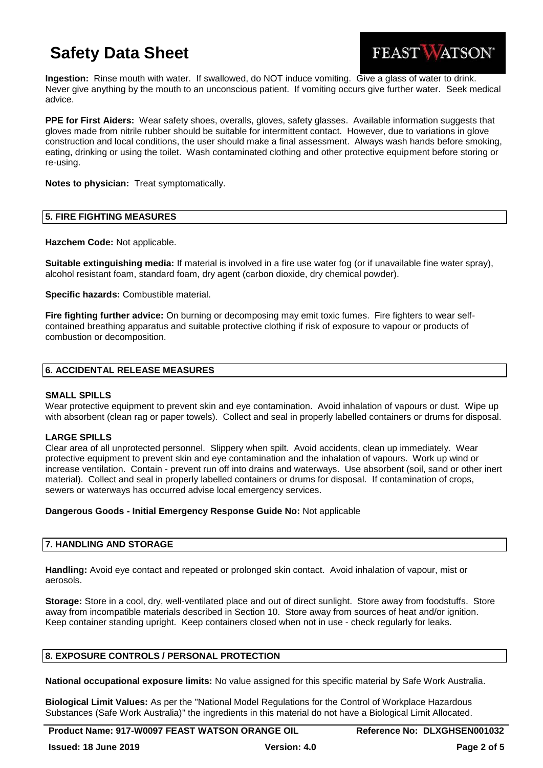

**Ingestion:** Rinse mouth with water. If swallowed, do NOT induce vomiting. Give a glass of water to drink. Never give anything by the mouth to an unconscious patient. If vomiting occurs give further water. Seek medical advice.

**PPE for First Aiders:** Wear safety shoes, overalls, gloves, safety glasses. Available information suggests that gloves made from nitrile rubber should be suitable for intermittent contact. However, due to variations in glove construction and local conditions, the user should make a final assessment. Always wash hands before smoking, eating, drinking or using the toilet. Wash contaminated clothing and other protective equipment before storing or re-using.

**Notes to physician:** Treat symptomatically.

#### **5. FIRE FIGHTING MEASURES**

**Hazchem Code:** Not applicable.

**Suitable extinguishing media:** If material is involved in a fire use water fog (or if unavailable fine water spray), alcohol resistant foam, standard foam, dry agent (carbon dioxide, dry chemical powder).

**Specific hazards:** Combustible material.

**Fire fighting further advice:** On burning or decomposing may emit toxic fumes. Fire fighters to wear selfcontained breathing apparatus and suitable protective clothing if risk of exposure to vapour or products of combustion or decomposition.

#### **6. ACCIDENTAL RELEASE MEASURES**

#### **SMALL SPILLS**

Wear protective equipment to prevent skin and eye contamination. Avoid inhalation of vapours or dust. Wipe up with absorbent (clean rag or paper towels). Collect and seal in properly labelled containers or drums for disposal.

## **LARGE SPILLS**

Clear area of all unprotected personnel. Slippery when spilt. Avoid accidents, clean up immediately. Wear protective equipment to prevent skin and eye contamination and the inhalation of vapours. Work up wind or increase ventilation. Contain - prevent run off into drains and waterways. Use absorbent (soil, sand or other inert material). Collect and seal in properly labelled containers or drums for disposal. If contamination of crops, sewers or waterways has occurred advise local emergency services.

#### **Dangerous Goods - Initial Emergency Response Guide No:** Not applicable

## **7. HANDLING AND STORAGE**

**Handling:** Avoid eye contact and repeated or prolonged skin contact. Avoid inhalation of vapour, mist or aerosols.

**Storage:** Store in a cool, dry, well-ventilated place and out of direct sunlight. Store away from foodstuffs. Store away from incompatible materials described in Section 10. Store away from sources of heat and/or ignition. Keep container standing upright. Keep containers closed when not in use - check regularly for leaks.

## **8. EXPOSURE CONTROLS / PERSONAL PROTECTION**

**National occupational exposure limits:** No value assigned for this specific material by Safe Work Australia.

**Biological Limit Values:** As per the "National Model Regulations for the Control of Workplace Hazardous Substances (Safe Work Australia)" the ingredients in this material do not have a Biological Limit Allocated.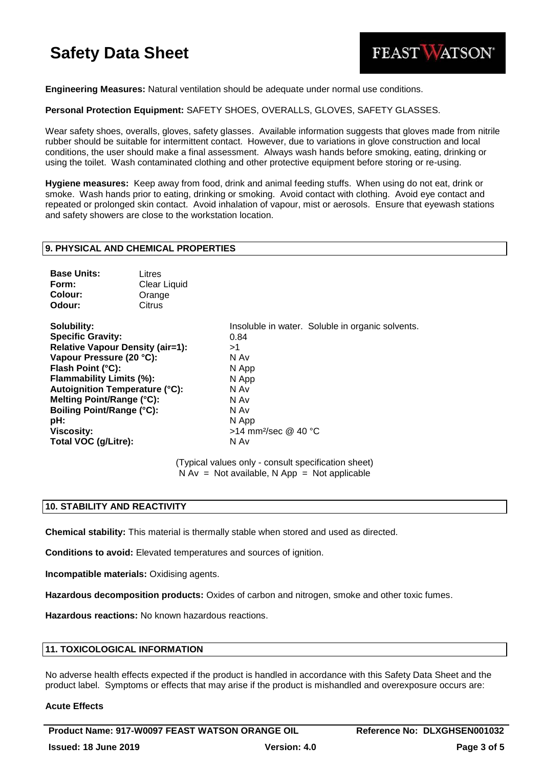

**Engineering Measures:** Natural ventilation should be adequate under normal use conditions.

**Personal Protection Equipment:** SAFETY SHOES, OVERALLS, GLOVES, SAFETY GLASSES.

Wear safety shoes, overalls, gloves, safety glasses. Available information suggests that gloves made from nitrile rubber should be suitable for intermittent contact. However, due to variations in glove construction and local conditions, the user should make a final assessment. Always wash hands before smoking, eating, drinking or using the toilet. Wash contaminated clothing and other protective equipment before storing or re-using.

**Hygiene measures:** Keep away from food, drink and animal feeding stuffs. When using do not eat, drink or smoke. Wash hands prior to eating, drinking or smoking. Avoid contact with clothing. Avoid eye contact and repeated or prolonged skin contact. Avoid inhalation of vapour, mist or aerosols. Ensure that eyewash stations and safety showers are close to the workstation location.

#### **9. PHYSICAL AND CHEMICAL PROPERTIES**

| Litres       |
|--------------|
| Clear Liquid |
| Orange       |
| Citrus       |
|              |

**Specific Gravity:** 0.84 **Relative Vapour Density (air=1):** >1 **Vapour Pressure (20 °C):** N Av **Flash Point (°C):** N App **Flammability Limits (%):** N App **Autoignition Temperature (°C):** N Av **Melting Point/Range (°C):** N Av **Boiling Point/Range (°C):** N Av **pH:** N App **Viscosity:**  $>14$  mm<sup>2</sup>/sec @ 40 °C **Total VOC (g/Litre):** N Av

**Solubility:** Insoluble in water. Soluble in organic solvents.

(Typical values only - consult specification sheet)  $N Av = Not available, N App = Not applicable$ 

#### **10. STABILITY AND REACTIVITY**

**Chemical stability:** This material is thermally stable when stored and used as directed.

**Conditions to avoid:** Elevated temperatures and sources of ignition.

**Incompatible materials:** Oxidising agents.

**Hazardous decomposition products:** Oxides of carbon and nitrogen, smoke and other toxic fumes.

**Hazardous reactions:** No known hazardous reactions.

#### **11. TOXICOLOGICAL INFORMATION**

No adverse health effects expected if the product is handled in accordance with this Safety Data Sheet and the product label. Symptoms or effects that may arise if the product is mishandled and overexposure occurs are:

#### **Acute Effects**

**Product Name: 917-W0097 FEAST WATSON ORANGE OIL Reference No: DLXGHSEN001032 Issued: 18 June 2019 Version: 4.0 Page 3 of 5**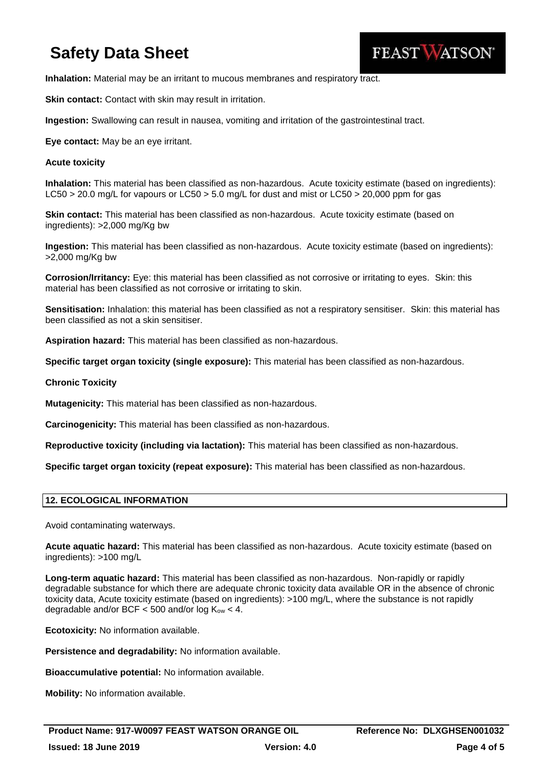

**Inhalation:** Material may be an irritant to mucous membranes and respiratory tract.

**Skin contact:** Contact with skin may result in irritation.

**Ingestion:** Swallowing can result in nausea, vomiting and irritation of the gastrointestinal tract.

**Eye contact:** May be an eye irritant.

#### **Acute toxicity**

**Inhalation:** This material has been classified as non-hazardous. Acute toxicity estimate (based on ingredients): LC50 > 20.0 mg/L for vapours or LC50 > 5.0 mg/L for dust and mist or LC50 > 20,000 ppm for gas

**Skin contact:** This material has been classified as non-hazardous. Acute toxicity estimate (based on ingredients): >2,000 mg/Kg bw

**Ingestion:** This material has been classified as non-hazardous. Acute toxicity estimate (based on ingredients): >2,000 mg/Kg bw

**Corrosion/Irritancy:** Eye: this material has been classified as not corrosive or irritating to eyes. Skin: this material has been classified as not corrosive or irritating to skin.

**Sensitisation:** Inhalation: this material has been classified as not a respiratory sensitiser. Skin: this material has been classified as not a skin sensitiser.

**Aspiration hazard:** This material has been classified as non-hazardous.

**Specific target organ toxicity (single exposure):** This material has been classified as non-hazardous.

**Chronic Toxicity**

**Mutagenicity:** This material has been classified as non-hazardous.

**Carcinogenicity:** This material has been classified as non-hazardous.

**Reproductive toxicity (including via lactation):** This material has been classified as non-hazardous.

**Specific target organ toxicity (repeat exposure):** This material has been classified as non-hazardous.

## **12. ECOLOGICAL INFORMATION**

Avoid contaminating waterways.

**Acute aquatic hazard:** This material has been classified as non-hazardous. Acute toxicity estimate (based on ingredients): >100 mg/L

**Long-term aquatic hazard:** This material has been classified as non-hazardous. Non-rapidly or rapidly degradable substance for which there are adequate chronic toxicity data available OR in the absence of chronic toxicity data, Acute toxicity estimate (based on ingredients): >100 mg/L, where the substance is not rapidly degradable and/or BCF  $<$  500 and/or log  $K_{ow}$   $<$  4.

**Ecotoxicity:** No information available.

**Persistence and degradability:** No information available.

**Bioaccumulative potential:** No information available.

**Mobility:** No information available.